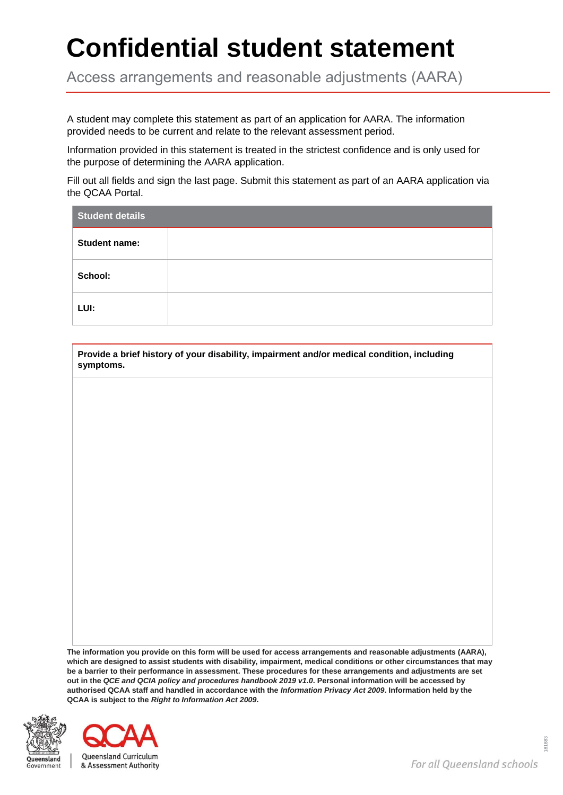## **Confidential student statement**

Access arrangements and reasonable adjustments (AARA)

A student may complete this statement as part of an application for AARA. The information provided needs to be current and relate to the relevant assessment period.

Information provided in this statement is treated in the strictest confidence and is only used for the purpose of determining the AARA application.

Fill out all fields and sign the last page. Submit this statement as part of an AARA application via the QCAA Portal.

| <b>Student details</b> |  |  |  |  |
|------------------------|--|--|--|--|
| <b>Student name:</b>   |  |  |  |  |
| School:                |  |  |  |  |
| LUI:                   |  |  |  |  |

**Provide a brief history of your disability, impairment and/or medical condition, including symptoms.**

**The information you provide on this form will be used for access arrangements and reasonable adjustments (AARA), which are designed to assist students with disability, impairment, medical conditions or other circumstances that may be a barrier to their performance in assessment. These procedures for these arrangements and adjustments are set out in the** *QCE and QCIA policy and procedures handbook 2019 v1.0***. Personal information will be accessed by authorised QCAA staff and handled in accordance with the** *Information Privacy Act 2009***. Information held by the QCAA is subject to the** *Right to Information Act 2009***.**



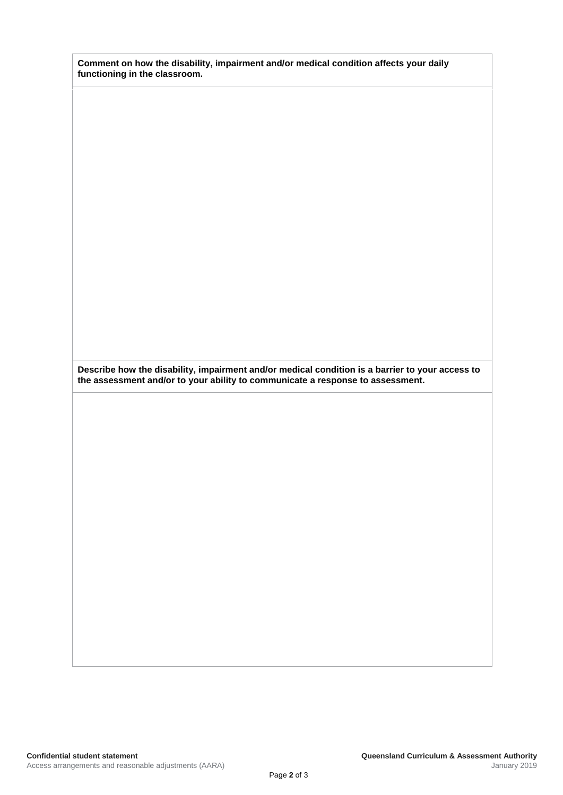| Comment on how the disability, impairment and/or medical condition affects your daily |  |
|---------------------------------------------------------------------------------------|--|
| functioning in the classroom.                                                         |  |

**Describe how the disability, impairment and/or medical condition is a barrier to your access to the assessment and/or to your ability to communicate a response to assessment.**